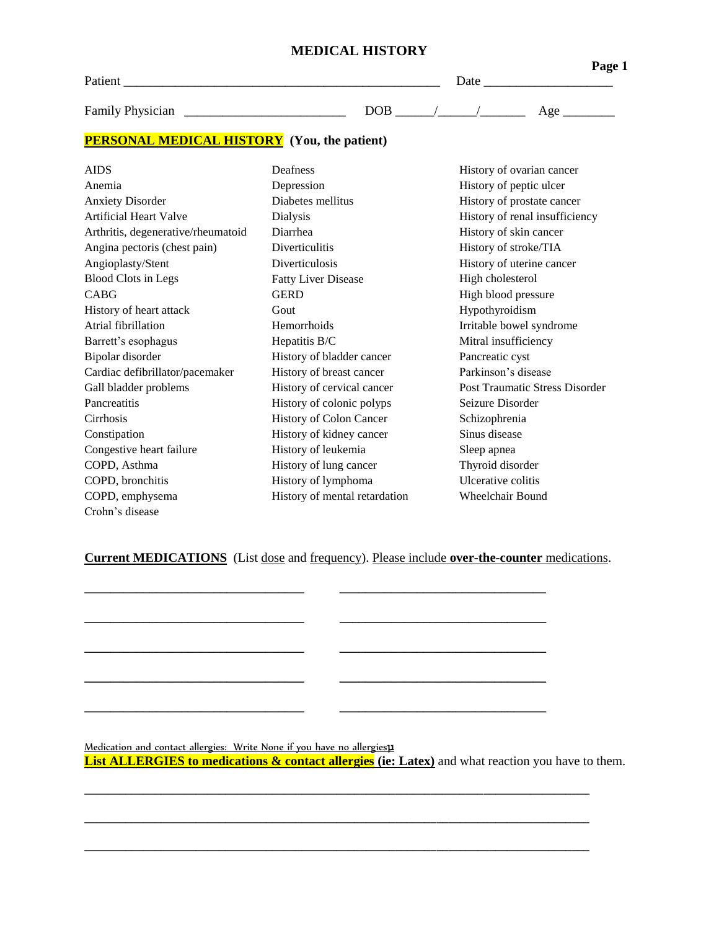| <b>MEDICAL HISTORY</b> |  |
|------------------------|--|
|------------------------|--|

| Patient                                            | Date       | Page 1 |
|----------------------------------------------------|------------|--------|
| <b>Family Physician</b>                            | <b>DOB</b> | Age    |
| <b>PERSONAL MEDICAL HISTORY</b> (You, the patient) |            |        |

AIDS Deafness Deafness History of ovarian cancer Anemia Depression History of peptic ulcer Anxiety Disorder Diabetes mellitus History of prostate cancer Artificial Heart Valve **Dialysis** Dialysis **History of renal insufficiency** Arthritis, degenerative/rheumatoid Diarrhea History of skin cancer Angina pectoris (chest pain) Diverticulitis History of stroke/TIA Angioplasty/Stent Blood Clots in Legs Diverticulosis Fatty Liver Disease History of uterine cancer High cholesterol CABG GERD GERD High blood pressure History of heart attack Gout Hypothyroidism Atrial fibrillation **Hemorrhoids** Irritable bowel syndrome Barrett's esophagus Hepatitis B/C Mitral insufficiency Bipolar disorder History of bladder cancer Pancreatic cyst Cardiac defibrillator/pacemaker History of breast cancer Parkinson's disease Gall bladder problems **History of cervical cancer** Post Traumatic Stress Disorder **Pancreatitis** Cirrhosis History of colonic polyps History of Colon Cancer Seizure Disorder Schizophrenia Constipation History of kidney cancer Sinus disease Congestive heart failure **History of leukemia** Sleep apnea COPD, Asthma History of lung cancer Thyroid disorder COPD, bronchitis History of lymphoma Ulcerative colitis COPD, emphysema History of mental retardation Wheelchair Bound Crohn's disease

## **Current MEDICATIONS** (List dose and frequency). Please include **over-the-counter** medications.

**\_\_\_\_\_\_\_\_\_\_\_\_\_\_\_\_\_\_\_\_\_\_\_\_\_\_\_\_\_\_\_\_\_\_ \_\_\_\_\_\_\_\_\_\_\_\_\_\_\_\_\_\_\_\_\_\_\_\_\_\_\_\_\_\_\_\_**

**\_\_\_\_\_\_\_\_\_\_\_\_\_\_\_\_\_\_\_\_\_\_\_\_\_\_\_\_\_\_\_\_\_\_ \_\_\_\_\_\_\_\_\_\_\_\_\_\_\_\_\_\_\_\_\_\_\_\_\_\_\_\_\_\_\_\_**

**\_\_\_\_\_\_\_\_\_\_\_\_\_\_\_\_\_\_\_\_\_\_\_\_\_\_\_\_\_\_\_\_\_\_ \_\_\_\_\_\_\_\_\_\_\_\_\_\_\_\_\_\_\_\_\_\_\_\_\_\_\_\_\_\_\_\_**

**\_\_\_\_\_\_\_\_\_\_\_\_\_\_\_\_\_\_\_\_\_\_\_\_\_\_\_\_\_\_\_\_\_\_ \_\_\_\_\_\_\_\_\_\_\_\_\_\_\_\_\_\_\_\_\_\_\_\_\_\_\_\_\_\_\_\_**

**\_\_\_\_\_\_\_\_\_\_\_\_\_\_\_\_\_\_\_\_\_\_\_\_\_\_\_\_\_\_\_\_\_\_ \_\_\_\_\_\_\_\_\_\_\_\_\_\_\_\_\_\_\_\_\_\_\_\_\_\_\_\_\_\_\_\_**

Medication and contact allergies: Write None if you have no allergies**µ List ALLERGIES to medications & contact allergies** (ie: Latex) and what reaction you have to them.

**\_\_\_\_\_\_\_\_\_\_\_\_\_\_\_\_\_\_\_\_\_\_\_\_\_\_\_\_\_\_\_\_\_\_\_\_\_\_\_\_\_\_\_\_\_\_\_\_\_\_\_\_\_\_\_\_\_\_\_\_\_\_\_\_\_\_\_\_\_\_\_\_\_\_\_\_\_\_\_\_\_\_\_\_\_\_**

**\_\_\_\_\_\_\_\_\_\_\_\_\_\_\_\_\_\_\_\_\_\_\_\_\_\_\_\_\_\_\_\_\_\_\_\_\_\_\_\_\_\_\_\_\_\_\_\_\_\_\_\_\_\_\_\_\_\_\_\_\_\_\_\_\_\_\_\_\_\_\_\_\_\_\_\_\_\_\_\_\_\_\_\_\_\_**

**\_\_\_\_\_\_\_\_\_\_\_\_\_\_\_\_\_\_\_\_\_\_\_\_\_\_\_\_\_\_\_\_\_\_\_\_\_\_\_\_\_\_\_\_\_\_\_\_\_\_\_\_\_\_\_\_\_\_\_\_\_\_\_\_\_\_\_\_\_\_\_\_\_\_\_\_\_\_\_\_\_\_\_\_\_\_**